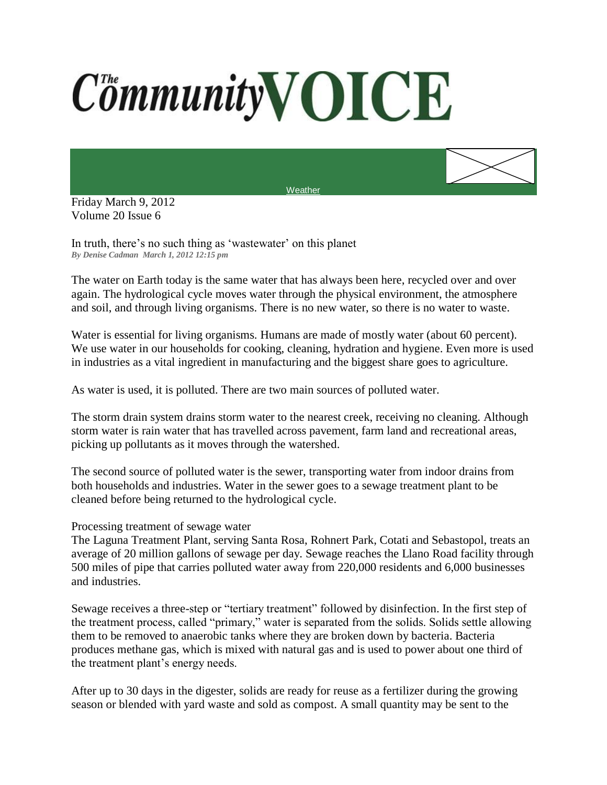## **CommunityVOICE**



In truth, there's no such thing as 'wastewater' on this planet *By Denise Cadman March 1, 2012 12:15 pm*

The water on Earth today is the same water that has always been here, recycled over and over again. The hydrological cycle moves water through the physical environment, the atmosphere and soil, and through living organisms. There is no new water, so there is no water to waste.

**[Weather](http://www.accuweather.com/us/CA/ROHNERT%20PARK/94928/city-weather-forecast.asp?partner=netweather&traveler=0)** 

Water is essential for living organisms. Humans are made of mostly water (about 60 percent). We use water in our households for cooking, cleaning, hydration and hygiene. Even more is used in industries as a vital ingredient in manufacturing and the biggest share goes to agriculture.

As water is used, it is polluted. There are two main sources of polluted water.

The storm drain system drains storm water to the nearest creek, receiving no cleaning. Although storm water is rain water that has travelled across pavement, farm land and recreational areas, picking up pollutants as it moves through the watershed.

The second source of polluted water is the sewer, transporting water from indoor drains from both households and industries. Water in the sewer goes to a sewage treatment plant to be cleaned before being returned to the hydrological cycle.

## Processing treatment of sewage water

The Laguna Treatment Plant, serving Santa Rosa, Rohnert Park, Cotati and Sebastopol, treats an average of 20 million gallons of sewage per day. Sewage reaches the Llano Road facility through 500 miles of pipe that carries polluted water away from 220,000 residents and 6,000 businesses and industries.

Sewage receives a three-step or "tertiary treatment" followed by disinfection. In the first step of the treatment process, called "primary," water is separated from the solids. Solids settle allowing them to be removed to anaerobic tanks where they are broken down by bacteria. Bacteria produces methane gas, which is mixed with natural gas and is used to power about one third of the treatment plant's energy needs.

After up to 30 days in the digester, solids are ready for reuse as a fertilizer during the growing season or blended with yard waste and sold as compost. A small quantity may be sent to the